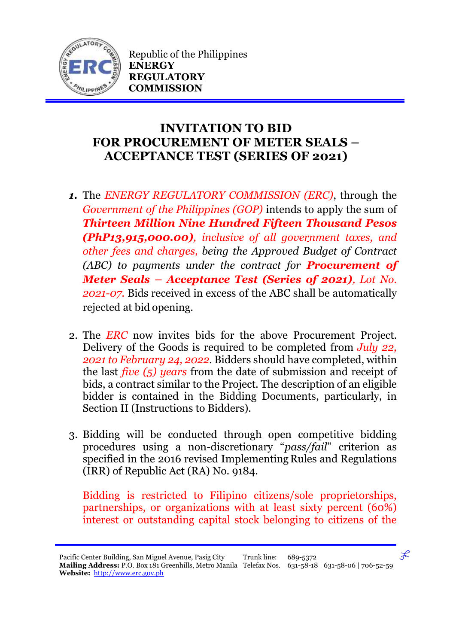

Republic of the Philippines **ENERGY REGULATORY COMMISSION**

## **INVITATION TO BID FOR PROCUREMENT OF METER SEALS – ACCEPTANCE TEST (SERIES OF 2021)**

- *1.* The *ENERGY REGULATORY COMMISSION (ERC)*, through the *Government of the Philippines (GOP)* intends to apply the sum of *Thirteen Million Nine Hundred Fifteen Thousand Pesos (PhP13,915,000.00), inclusive of all government taxes, and other fees and charges, being the Approved Budget of Contract (ABC) to payments under the contract for Procurement of Meter Seals – Acceptance Test (Series of 2021), Lot No. 2021-07.* Bids received in excess of the ABC shall be automatically rejected at bid opening.
- 2. The *ERC* now invites bids for the above Procurement Project. Delivery of the Goods is required to be completed from *July 22, 2021 to February 24, 2022.* Bidders should have completed, within the last *five (5) years* from the date of submission and receipt of bids, a contract similar to the Project. The description of an eligible bidder is contained in the Bidding Documents, particularly, in Section II (Instructions to Bidders).
- 3. Bidding will be conducted through open competitive bidding procedures using a non-discretionary "*pass/fail*" criterion as specified in the 2016 revised Implementing Rules and Regulations (IRR) of Republic Act (RA) No. 9184.

Bidding is restricted to Filipino citizens/sole proprietorships, partnerships, or organizations with at least sixty percent (60%) interest or outstanding capital stock belonging to citizens of the

 $\mathcal{F}$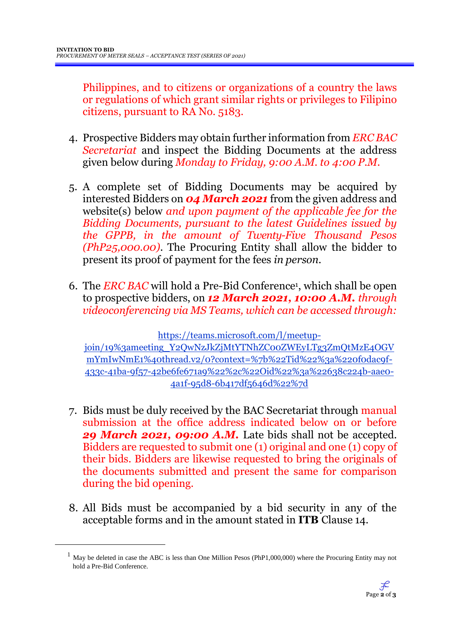Philippines, and to citizens or organizations of a country the laws or regulations of which grant similar rights or privileges to Filipino citizens, pursuant to RA No. 5183.

- 4. Prospective Bidders may obtain further information from *ERC BAC Secretariat* and inspect the Bidding Documents at the address given below during *Monday to Friday, 9:00 A.M. to 4:00 P.M*.
- 5. A complete set of Bidding Documents may be acquired by interested Bidders on *04 March 2021* from the given address and website(s) below *and upon payment of the applicable fee for the Bidding Documents, pursuant to the latest Guidelines issued by the GPPB, in the amount of Twenty-Five Thousand Pesos (PhP25,000.00)*. The Procuring Entity shall allow the bidder to present its proof of payment for the fees *in person.*
- 6. The *ERC BAC* will hold a Pre-Bid Conference<sup>1</sup> , which shall be open to prospective bidders, on *12 March 2021, 10:00 A.M. through videoconferencing via MS Teams, which can be accessed through:*

https://teams.microsoft.com/l/meetupjoin/19%3ameeting\_Y2QwNzJkZjMtYTNhZC00ZWEyLTg3ZmQtMzE4OGV mYmIwNmE1%40thread.v2/0?context=%7b%22Tid%22%3a%220f0dac9f-433c-41ba-9f57-42be6fe671a9%22%2c%22Oid%22%3a%22638c224b-aae0- 4a1f-95d8-6b417df5646d%22%7d

- 7. Bids must be duly received by the BAC Secretariat through manual submission at the office address indicated below on or before *29 March 2021, 09:00 A.M.* Late bids shall not be accepted. Bidders are requested to submit one (1) original and one (1) copy of their bids. Bidders are likewise requested to bring the originals of the documents submitted and present the same for comparison during the bid opening.
- 8. All Bids must be accompanied by a bid security in any of the acceptable forms and in the amount stated in **ITB** Clause 14.

<u>.</u>

 $1$  May be deleted in case the ABC is less than One Million Pesos (PhP1,000,000) where the Procuring Entity may not hold a Pre-Bid Conference.